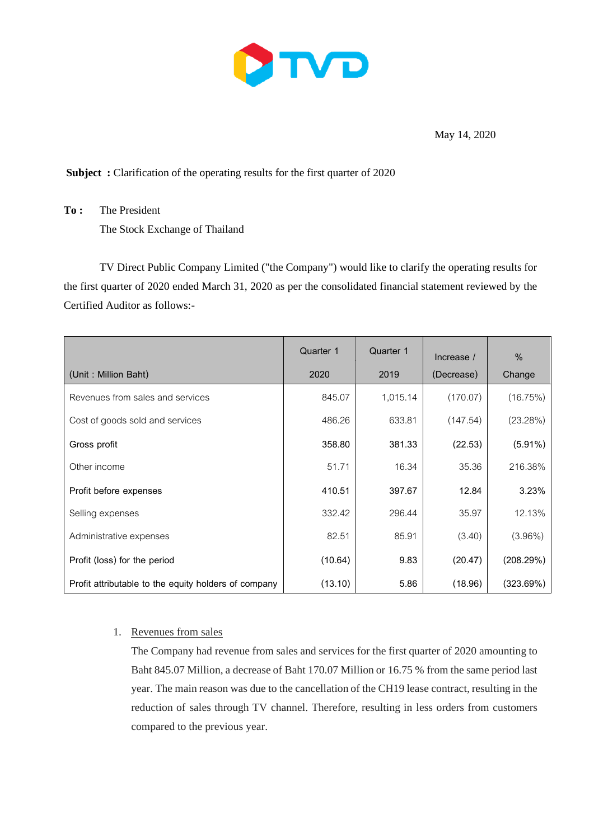

May 14, 2020

**Subject :** Clarification of the operating results for the first quarter of 2020

**To :** The President The Stock Exchange of Thailand

TV Direct Public Company Limited ("the Company") would like to clarify the operating results for the first quarter of 2020 ended March 31, 2020 as per the consolidated financial statement reviewed by the Certified Auditor as follows:-

|                                                      | Quarter 1 | Quarter 1 | Increase / | $\frac{0}{0}$ |
|------------------------------------------------------|-----------|-----------|------------|---------------|
| (Unit: Million Baht)                                 | 2020      | 2019      | (Decrease) | Change        |
| Revenues from sales and services                     | 845.07    | 1,015.14  | (170.07)   | (16.75%)      |
| Cost of goods sold and services                      | 486.26    | 633.81    | (147.54)   | (23.28%)      |
| Gross profit                                         | 358.80    | 381.33    | (22.53)    | $(5.91\%)$    |
| Other income                                         | 51.71     | 16.34     | 35.36      | 216.38%       |
| Profit before expenses                               | 410.51    | 397.67    | 12.84      | 3.23%         |
| Selling expenses                                     | 332.42    | 296.44    | 35.97      | 12.13%        |
| Administrative expenses                              | 82.51     | 85.91     | (3.40)     | $(3.96\%)$    |
| Profit (loss) for the period                         | (10.64)   | 9.83      | (20.47)    | (208.29%)     |
| Profit attributable to the equity holders of company | (13.10)   | 5.86      | (18.96)    | (323.69%)     |

# 1. Revenues from sales

The Company had revenue from sales and services for the first quarter of 2020 amounting to Baht 845.07 Million, a decrease of Baht 170.07 Million or 16.75 % from the same period last year. The main reason was due to the cancellation of the CH19 lease contract, resulting in the reduction of sales through TV channel. Therefore, resulting in less orders from customers compared to the previous year.